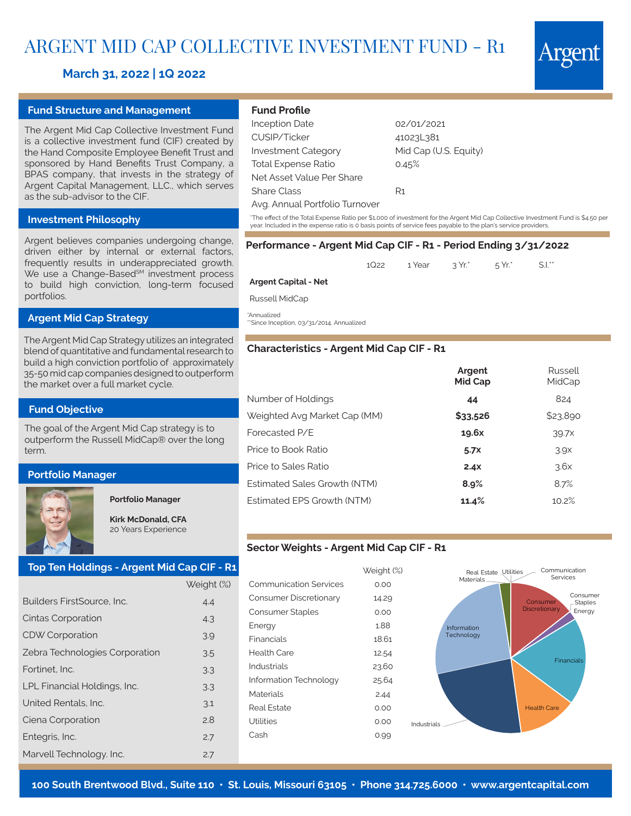# ARGENT MID CAP COLLECTIVE INVESTMENT FUND - R1

# **March 31, 2022 | 1Q 2022**

#### **Fund Structure and Management**

The Argent Mid Cap Collective Investment Fund is a collective investment fund (CIF) created by the Hand Composite Employee Benefit Trust and sponsored by Hand Benefits Trust Company, a BPAS company, that invests in the strategy of Argent Capital Management, LLC., which serves as the sub-advisor to the CIF.

## **Investment Philosophy**

Argent believes companies undergoing change, driven either by internal or external factors, frequently results in underappreciated growth. We use a Change-Based<sup>SM</sup> investment process to build high conviction, long-term focused portfolios.

# **Argent Mid Cap Strategy**

The Argent Mid Cap Strategy utilizes an integrated blend of quantitative and fundamental research to build a high conviction portfolio of approximately 35-50 mid cap companies designed to outperform the market over a full market cycle.

#### **Fund Objective**

The goal of the Argent Mid Cap strategy is to outperform the Russell MidCap® over the long term.

## **Portfolio Manager**

### **Portfolio Manager**

**Kirk McDonald, CFA** 20 Years Experience

# **Top Ten Holdings - Argent Mid Cap CIF - R1**

|                                | Weight (%) |  |  |
|--------------------------------|------------|--|--|
| Builders FirstSource, Inc.     | 4.4        |  |  |
| Cintas Corporation             | 4.3        |  |  |
| <b>CDW Corporation</b>         | 3.9        |  |  |
| Zebra Technologies Corporation | 3.5        |  |  |
| Fortinet. Inc.                 | 3.3        |  |  |
| LPL Financial Holdings, Inc.   | 3.3        |  |  |
| United Rentals, Inc.           | 3.1        |  |  |
| Ciena Corporation              | 2.8        |  |  |
| Entegris, Inc.                 | 2.7        |  |  |
| Marvell Technology. Inc.       | 2.7        |  |  |

# **Fund Profile**

| <b>Inception Date</b>          | 02/01/2021            |
|--------------------------------|-----------------------|
| CUSIP/Ticker                   | 41023L381             |
| <b>Investment Category</b>     | Mid Cap (U.S. Equity) |
| <b>Total Expense Ratio</b>     | 0.45%                 |
| Net Asset Value Per Share      |                       |
| Share Class                    | R1                    |
| Avg. Annual Portfolio Turnover |                       |
|                                |                       |

\*The effect of the Total Expense Ratio per \$1,000 of investment for the Argent Mid Cap Collective Investment Fund is \$4.50 per year. Included in the expense ratio is 0 basis points of service fees payable to the plan's service providers.

# **Performance - Argent Mid Cap CIF - R1 - Period Ending 3/31/2022**

1Q22 1 Year 3 Yr.\* 5 Yr.\* S.I.\*\*

#### **Argent Capital - Net**

Russell MidCap

\*Annualized

\*\*Since Inception, 03/31/2014, Annualized

#### **Characteristics - Argent Mid Cap CIF - R1**

|                              | Argent<br>Mid Cap | Russell<br>MidCap |
|------------------------------|-------------------|-------------------|
| Number of Holdings           | 44                | 824               |
| Weighted Avg Market Cap (MM) | \$33,526          | \$23,890          |
| Forecasted P/E               | 19.6x             | 39.7x             |
| Price to Book Ratio          | 5.7x              | 3.9 <sub>X</sub>  |
| Price to Sales Ratio         | 2.4x              | 3.6x              |
| Estimated Sales Growth (NTM) | 8.9%              | 8.7%              |
| Estimated EPS Growth (NTM)   | 11.4%             | 10.2%             |

#### **Sector Weights - Argent Mid Cap CIF - R1**

|                               | Weight (%) |
|-------------------------------|------------|
| <b>Communication Services</b> | 0.00       |
| Consumer Discretionary        | 14.29      |
| Consumer Staples              | 0.00       |
| Energy                        | 1.88       |
| Financials                    | 18.61      |
| Health Care                   | 12.54      |
| Industrials                   | 23.60      |
| Information Technology        | 25.64      |
| Materials                     | 2.44       |
| Real Estate                   | 0.00       |
| l Itilities                   | 0.00<br>In |
| Cash                          | 0.99       |
|                               |            |